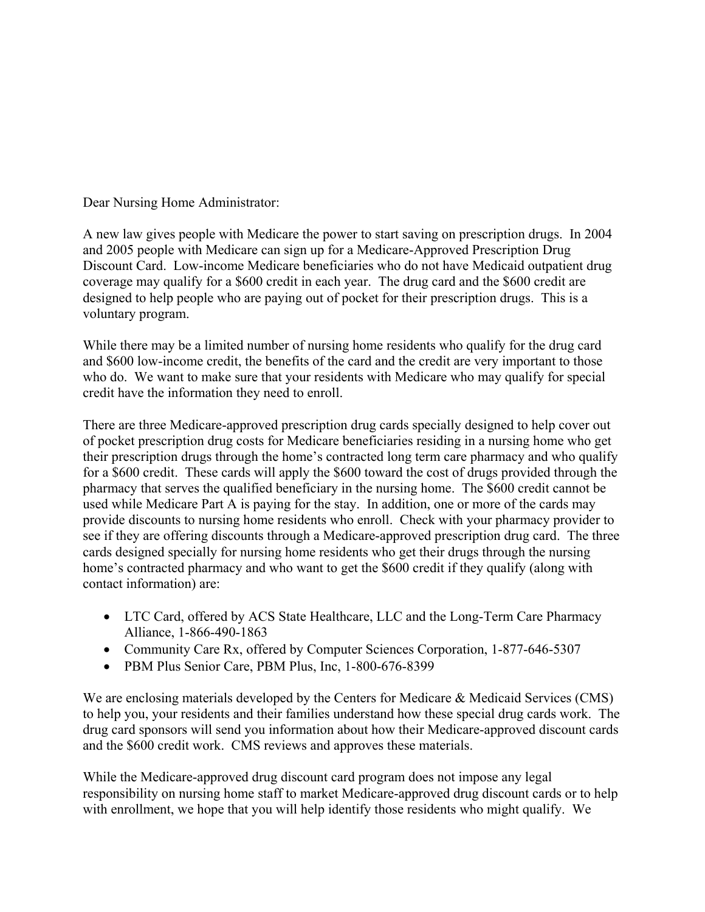Dear Nursing Home Administrator:

A new law gives people with Medicare the power to start saving on prescription drugs. In 2004 and 2005 people with Medicare can sign up for a Medicare-Approved Prescription Drug Discount Card. Low-income Medicare beneficiaries who do not have Medicaid outpatient drug coverage may qualify for a \$600 credit in each year. The drug card and the \$600 credit are designed to help people who are paying out of pocket for their prescription drugs. This is a voluntary program.

While there may be a limited number of nursing home residents who qualify for the drug card and \$600 low-income credit, the benefits of the card and the credit are very important to those who do. We want to make sure that your residents with Medicare who may qualify for special credit have the information they need to enroll.

There are three Medicare-approved prescription drug cards specially designed to help cover out of pocket prescription drug costs for Medicare beneficiaries residing in a nursing home who get their prescription drugs through the home's contracted long term care pharmacy and who qualify for a \$600 credit. These cards will apply the \$600 toward the cost of drugs provided through the pharmacy that serves the qualified beneficiary in the nursing home. The \$600 credit cannot be used while Medicare Part A is paying for the stay. In addition, one or more of the cards may provide discounts to nursing home residents who enroll. Check with your pharmacy provider to see if they are offering discounts through a Medicare-approved prescription drug card. The three cards designed specially for nursing home residents who get their drugs through the nursing home's contracted pharmacy and who want to get the \$600 credit if they qualify (along with contact information) are:

- LTC Card, offered by ACS State Healthcare, LLC and the Long-Term Care Pharmacy Alliance, 1-866-490-1863
- Community Care Rx, offered by Computer Sciences Corporation, 1-877-646-5307
- PBM Plus Senior Care, PBM Plus, Inc, 1-800-676-8399

We are enclosing materials developed by the Centers for Medicare & Medicaid Services (CMS) to help you, your residents and their families understand how these special drug cards work. The drug card sponsors will send you information about how their Medicare-approved discount cards and the \$600 credit work. CMS reviews and approves these materials.

While the Medicare-approved drug discount card program does not impose any legal responsibility on nursing home staff to market Medicare-approved drug discount cards or to help with enrollment, we hope that you will help identify those residents who might qualify. We